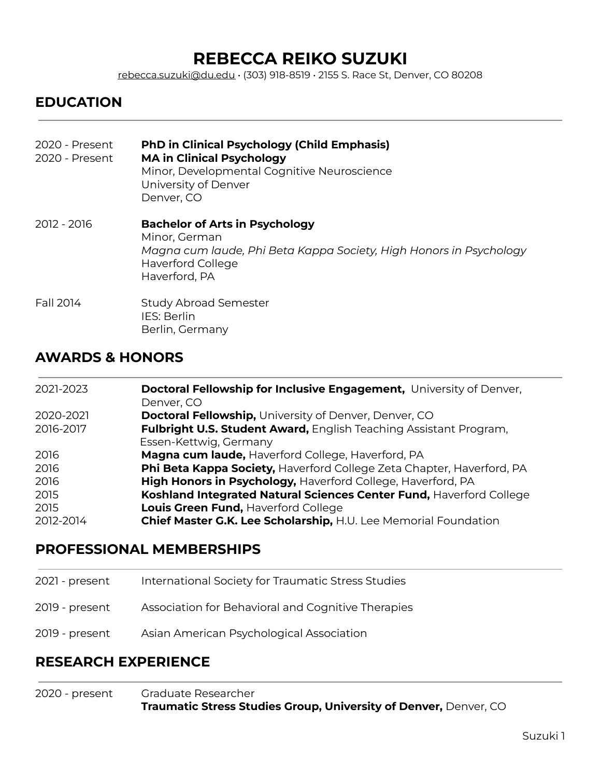# **REBECCA REIKO SUZUKI**

[rebecca.suzuki@du.edu](mailto:rebecca.suzuki@du.edu) • (303) 918-8519 • 2155 S. Race St, Denver, CO 80208

#### **EDUCATION**

| 2020 - Present<br>2020 - Present | <b>PhD in Clinical Psychology (Child Emphasis)</b><br><b>MA in Clinical Psychology</b><br>Minor, Developmental Cognitive Neuroscience<br>University of Denver<br>Denver, CO |
|----------------------------------|-----------------------------------------------------------------------------------------------------------------------------------------------------------------------------|
| 2012 - 2016                      | <b>Bachelor of Arts in Psychology</b><br>Minor, German<br>Magna cum laude, Phi Beta Kappa Society, High Honors in Psychology<br><b>Haverford College</b><br>Haverford, PA   |
| Fall 2014                        | <b>Study Abroad Semester</b><br>IES: Berlin<br>Berlin, Germany                                                                                                              |

#### **AWARDS & HONORS**

| 2021-2023 | Doctoral Fellowship for Inclusive Engagement, University of Denver,<br>Denver, CO |
|-----------|-----------------------------------------------------------------------------------|
| 2020-2021 | <b>Doctoral Fellowship, University of Denver, Denver, CO</b>                      |
| 2016-2017 | Fulbright U.S. Student Award, English Teaching Assistant Program,                 |
|           | Essen-Kettwig, Germany                                                            |
| 2016      | Magna cum laude, Haverford College, Haverford, PA                                 |
| 2016      | Phi Beta Kappa Society, Haverford College Zeta Chapter, Haverford, PA             |
| 2016      | High Honors in Psychology, Haverford College, Haverford, PA                       |
| 2015      | Koshland Integrated Natural Sciences Center Fund, Haverford College               |
| 2015      | Louis Green Fund, Haverford College                                               |
| 2012-2014 | Chief Master G.K. Lee Scholarship, H.U. Lee Memorial Foundation                   |

#### **PROFESSIONAL MEMBERSHIPS**

| 2021 - present | International Society for Traumatic Stress Studies |
|----------------|----------------------------------------------------|
| 2019 - present | Association for Behavioral and Cognitive Therapies |
| 2019 - present | Asian American Psychological Association           |

#### **RESEARCH EXPERIENCE**

2020 - present Graduate Researcher **Traumatic Stress Studies Group, University of Denver,** Denver, CO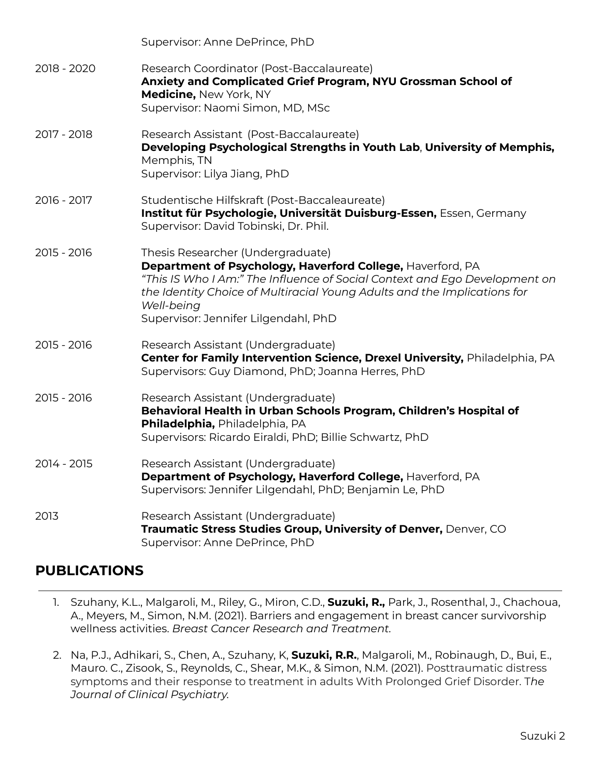|             | Supervisor: Anne DePrince, PhD                                                                                                                                                                                                                                                                                  |
|-------------|-----------------------------------------------------------------------------------------------------------------------------------------------------------------------------------------------------------------------------------------------------------------------------------------------------------------|
| 2018 - 2020 | Research Coordinator (Post-Baccalaureate)<br>Anxiety and Complicated Grief Program, NYU Grossman School of<br>Medicine, New York, NY<br>Supervisor: Naomi Simon, MD, MSc                                                                                                                                        |
| 2017 - 2018 | Research Assistant (Post-Baccalaureate)<br>Developing Psychological Strengths in Youth Lab, University of Memphis,<br>Memphis, TN<br>Supervisor: Lilya Jiang, PhD                                                                                                                                               |
| 2016 - 2017 | Studentische Hilfskraft (Post-Baccaleaureate)<br>Institut für Psychologie, Universität Duisburg-Essen, Essen, Germany<br>Supervisor: David Tobinski, Dr. Phil.                                                                                                                                                  |
| 2015 - 2016 | Thesis Researcher (Undergraduate)<br>Department of Psychology, Haverford College, Haverford, PA<br>"This IS Who I Am:" The Influence of Social Context and Ego Development on<br>the Identity Choice of Multiracial Young Adults and the Implications for<br>Well-being<br>Supervisor: Jennifer Lilgendahl, PhD |
| 2015 - 2016 | Research Assistant (Undergraduate)<br>Center for Family Intervention Science, Drexel University, Philadelphia, PA<br>Supervisors: Guy Diamond, PhD; Joanna Herres, PhD                                                                                                                                          |
| 2015 - 2016 | Research Assistant (Undergraduate)<br>Behavioral Health in Urban Schools Program, Children's Hospital of<br>Philadelphia, Philadelphia, PA<br>Supervisors: Ricardo Eiraldi, PhD; Billie Schwartz, PhD                                                                                                           |
| 2014 - 2015 | Research Assistant (Undergraduate)<br>Department of Psychology, Haverford College, Haverford, PA<br>Supervisors: Jennifer Lilgendahl, PhD; Benjamin Le, PhD                                                                                                                                                     |
| 2013        | Research Assistant (Undergraduate)<br>Traumatic Stress Studies Group, University of Denver, Denver, CO<br>Supervisor: Anne DePrince, PhD                                                                                                                                                                        |

## **PUBLICATIONS**

- 1. Szuhany, K.L., Malgaroli, M., Riley, G., Miron, C.D., **Suzuki, R.,** Park, J., Rosenthal, J., Chachoua, A., Meyers, M., Simon, N.M. (2021). Barriers and engagement in breast cancer survivorship wellness activities. *Breast Cancer Research and Treatment.*
- 2. Na, P.J., Adhikari, S., Chen, A., Szuhany, K, **Suzuki, R.R.**, Malgaroli, M., Robinaugh, D., Bui, E., Mauro. C., Zisook, S., Reynolds, C., Shear, M.K., & Simon, N.M. (2021). Posttraumatic distress symptoms and their response to treatment in adults With Prolonged Grief Disorder. T*he Journal of Clinical Psychiatry.*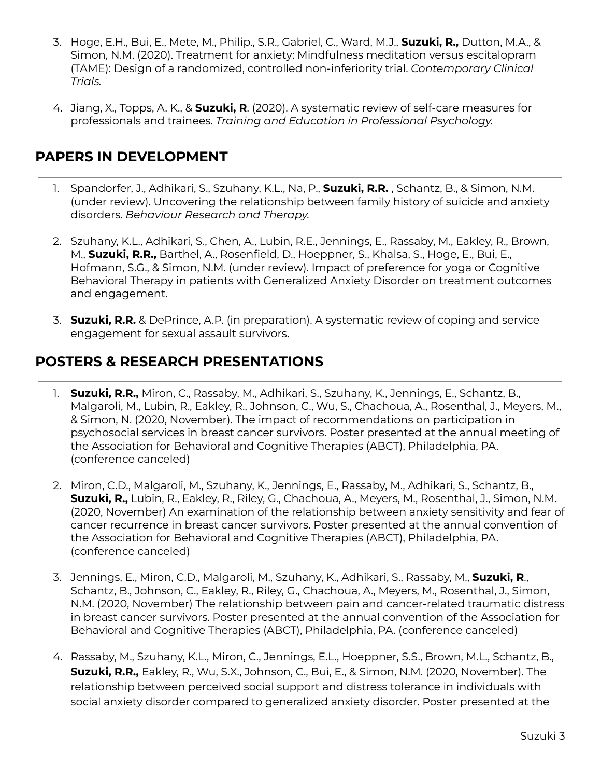- 3. Hoge, E.H., Bui, E., Mete, M., Philip., S.R., Gabriel, C., Ward, M.J., **Suzuki, R.,** Dutton, M.A., & Simon, N.M. (2020). Treatment for anxiety: Mindfulness meditation versus escitalopram (TAME): Design of a randomized, controlled non-inferiority trial. *Contemporary Clinical Trials.*
- 4. Jiang, X., Topps, A. K., & **Suzuki, R**. (2020). A systematic review of self-care measures for professionals and trainees. *Training and Education in Professional Psychology.*

#### **PAPERS IN DEVELOPMENT**

- 1. Spandorfer, J., Adhikari, S., Szuhany, K.L., Na, P., **Suzuki, R.R.** , Schantz, B., & Simon, N.M. (under review). Uncovering the relationship between family history of suicide and anxiety disorders. *Behaviour Research and Therapy.*
- 2. Szuhany, K.L., Adhikari, S., Chen, A., Lubin, R.E., Jennings, E., Rassaby, M., Eakley, R., Brown, M., **Suzuki, R.R.,** Barthel, A., Rosenfield, D., Hoeppner, S., Khalsa, S., Hoge, E., Bui, E., Hofmann, S.G., & Simon, N.M. (under review). Impact of preference for yoga or Cognitive Behavioral Therapy in patients with Generalized Anxiety Disorder on treatment outcomes and engagement.
- 3. **Suzuki, R.R.** & DePrince, A.P. (in preparation). A systematic review of coping and service engagement for sexual assault survivors.

# **POSTERS & RESEARCH PRESENTATIONS**

- 1. **Suzuki, R.R.,** Miron, C., Rassaby, M., Adhikari, S., Szuhany, K., Jennings, E., Schantz, B., Malgaroli, M., Lubin, R., Eakley, R., Johnson, C., Wu, S., Chachoua, A., Rosenthal, J., Meyers, M., & Simon, N. (2020, November). The impact of recommendations on participation in psychosocial services in breast cancer survivors. Poster presented at the annual meeting of the Association for Behavioral and Cognitive Therapies (ABCT), Philadelphia, PA. (conference canceled)
- 2. Miron, C.D., Malgaroli, M., Szuhany, K., Jennings, E., Rassaby, M., Adhikari, S., Schantz, B., **Suzuki, R.,** Lubin, R., Eakley, R., Riley, G., Chachoua, A., Meyers, M., Rosenthal, J., Simon, N.M. (2020, November) An examination of the relationship between anxiety sensitivity and fear of cancer recurrence in breast cancer survivors. Poster presented at the annual convention of the Association for Behavioral and Cognitive Therapies (ABCT), Philadelphia, PA. (conference canceled)
- 3. Jennings, E., Miron, C.D., Malgaroli, M., Szuhany, K., Adhikari, S., Rassaby, M., **Suzuki, R**., Schantz, B., Johnson, C., Eakley, R., Riley, G., Chachoua, A., Meyers, M., Rosenthal, J., Simon, N.M. (2020, November) The relationship between pain and cancer-related traumatic distress in breast cancer survivors. Poster presented at the annual convention of the Association for Behavioral and Cognitive Therapies (ABCT), Philadelphia, PA. (conference canceled)
- 4. Rassaby, M., Szuhany, K.L., Miron, C., Jennings, E.L., Hoeppner, S.S., Brown, M.L., Schantz, B., **Suzuki, R.R.,** Eakley, R., Wu, S.X., Johnson, C., Bui, E., & Simon, N.M. (2020, November). The relationship between perceived social support and distress tolerance in individuals with social anxiety disorder compared to generalized anxiety disorder. Poster presented at the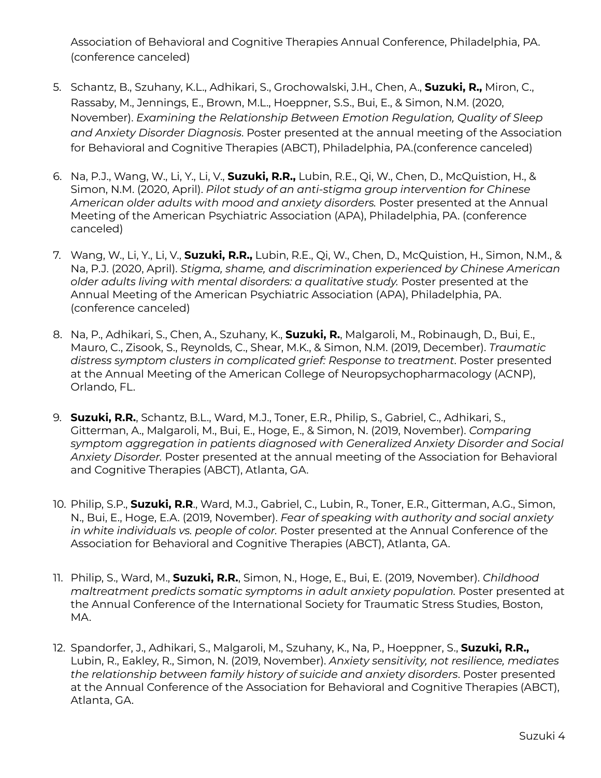Association of Behavioral and Cognitive Therapies Annual Conference, Philadelphia, PA. (conference canceled)

- 5. Schantz, B., Szuhany, K.L., Adhikari, S., Grochowalski, J.H., Chen, A., **Suzuki, R.,** Miron, C., Rassaby, M., Jennings, E., Brown, M.L., Hoeppner, S.S., Bui, E., & Simon, N.M. (2020, November). *Examining the Relationship Between Emotion Regulation, Quality of Sleep and Anxiety Disorder Diagnosis*. Poster presented at the annual meeting of the Association for Behavioral and Cognitive Therapies (ABCT), Philadelphia, PA.(conference canceled)
- 6. Na, P.J., Wang, W., Li, Y., Li, V., **Suzuki, R.R.,** Lubin, R.E., Qi, W., Chen, D., McQuistion, H., & Simon, N.M. (2020, April). *Pilot study of an anti-stigma group intervention for Chinese American older adults with mood and anxiety disorders.* Poster presented at the Annual Meeting of the American Psychiatric Association (APA), Philadelphia, PA. (conference canceled)
- 7. Wang, W., Li, Y., Li, V., **Suzuki, R.R.,** Lubin, R.E., Qi, W., Chen, D., McQuistion, H., Simon, N.M., & Na, P.J. (2020, April). *Stigma, shame, and discrimination experienced by Chinese American older adults living with mental disorders: a qualitative study.* Poster presented at the Annual Meeting of the American Psychiatric Association (APA), Philadelphia, PA. (conference canceled)
- 8. Na, P., Adhikari, S., Chen, A., Szuhany, K., **Suzuki, R.**, Malgaroli, M., Robinaugh, D., Bui, E., Mauro, C., Zisook, S., Reynolds, C., Shear, M.K., & Simon, N.M. (2019, December). *Traumatic distress symptom clusters in complicated grief: Response to treatment*. Poster presented at the Annual Meeting of the American College of Neuropsychopharmacology (ACNP), Orlando, FL.
- 9. **Suzuki, R.R.**, Schantz, B.L., Ward, M.J., Toner, E.R., Philip, S., Gabriel, C., Adhikari, S., Gitterman, A., Malgaroli, M., Bui, E., Hoge, E., & Simon, N. (2019, November). *Comparing symptom aggregation in patients diagnosed with Generalized Anxiety Disorder and Social Anxiety Disorder.* Poster presented at the annual meeting of the Association for Behavioral and Cognitive Therapies (ABCT), Atlanta, GA.
- 10. Philip, S.P., **Suzuki, R.R**., Ward, M.J., Gabriel, C., Lubin, R., Toner, E.R., Gitterman, A.G., Simon, N., Bui, E., Hoge, E.A. (2019, November). *Fear of speaking with authority and social anxiety in white individuals vs. people of color.* Poster presented at the Annual Conference of the Association for Behavioral and Cognitive Therapies (ABCT), Atlanta, GA.
- 11. Philip, S., Ward, M., **Suzuki, R.R.**, Simon, N., Hoge, E., Bui, E. (2019, November). *Childhood maltreatment predicts somatic symptoms in adult anxiety population.* Poster presented at the Annual Conference of the International Society for Traumatic Stress Studies, Boston, MA.
- 12. Spandorfer, J., Adhikari, S., Malgaroli, M., Szuhany, K., Na, P., Hoeppner, S., **Suzuki, R.R.,** Lubin, R., Eakley, R., Simon, N. (2019, November). *Anxiety sensitivity, not resilience, mediates the relationship between family history of suicide and anxiety disorders*. Poster presented at the Annual Conference of the Association for Behavioral and Cognitive Therapies (ABCT), Atlanta, GA.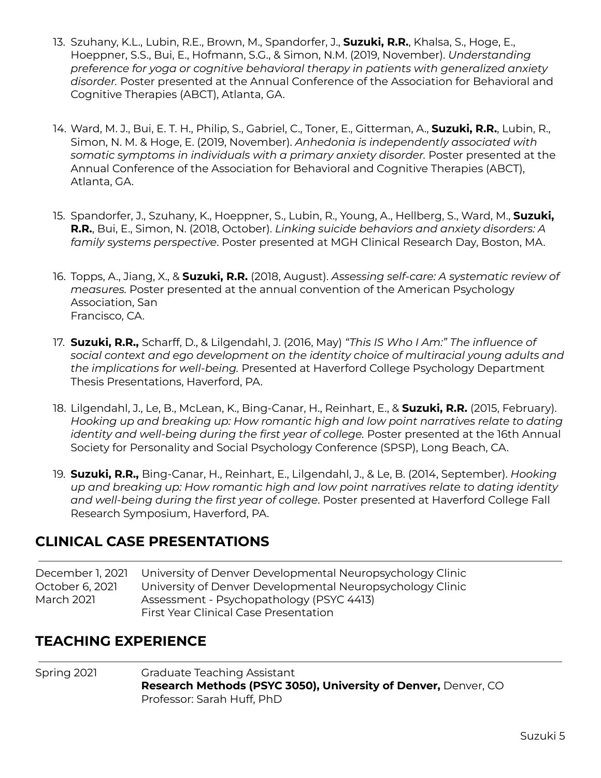- 13. Szuhany, K.L., Lubin, R.E., Brown, M., Spandorfer, J., **Suzuki, R.R.**, Khalsa, S., Hoge, E., Hoeppner, S.S., Bui, E., Hofmann, S.G., & Simon, N.M. (2019, November). *Understanding preference for yoga or cognitive behavioral therapy in patients with generalized anxiety disorder.* Poster presented at the Annual Conference of the Association for Behavioral and Cognitive Therapies (ABCT), Atlanta, GA.
- 14. Ward, M. J., Bui, E. T. H., Philip, S., Gabriel, C., Toner, E., Gitterman, A., **Suzuki, R.R.**, Lubin, R., Simon, N. M. & Hoge, E. (2019, November). *Anhedonia is independently associated with somatic symptoms in individuals with a primary anxiety disorder.* Poster presented at the Annual Conference of the Association for Behavioral and Cognitive Therapies (ABCT), Atlanta, GA.
- 15. Spandorfer, J., Szuhany, K., Hoeppner, S., Lubin, R., Young, A., Hellberg, S., Ward, M., **Suzuki, R.R.**, Bui, E., Simon, N. (2018, October). *Linking suicide behaviors and anxiety disorders: A family systems perspective*. Poster presented at MGH Clinical Research Day, Boston, MA.
- 16. Topps, A., Jiang, X., & **Suzuki, R.R.** (2018, August). *Assessing self-care: A systematic review of measures.* Poster presented at the annual convention of the American Psychology Association, San Francisco, CA.
- 17. **Suzuki, R.R.,** Scharff, D., & Lilgendahl, J. (2016, May) *"This IS Who I Am:" The influence of social context and ego development on the identity choice of multiracial young adults and the implications for well-being.* Presented at Haverford College Psychology Department Thesis Presentations, Haverford, PA.
- 18. Lilgendahl, J., Le, B., McLean, K., Bing-Canar, H., Reinhart, E., & **Suzuki, R.R.** (2015, February). *Hooking up and breaking up: How romantic high and low point narratives relate to dating identity and well-being during the first year of college.* Poster presented at the 16th Annual Society for Personality and Social Psychology Conference (SPSP), Long Beach, CA.
- 19. **Suzuki, R.R.,** Bing-Canar, H., Reinhart, E., Lilgendahl, J., & Le, B. (2014, September). *Hooking up and breaking up: How romantic high and low point narratives relate to dating identity and well-being during the first year of college*. Poster presented at Haverford College Fall Research Symposium, Haverford, PA.

## **CLINICAL CASE PRESENTATIONS**

December 1, 2021 University of Denver Developmental Neuropsychology Clinic October 6, 2021 University of Denver Developmental Neuropsychology Clinic March 2021 Assessment - Psychopathology (PSYC 4413) First Year Clinical Case Presentation

## **TEACHING EXPERIENCE**

Spring 2021 Graduate Teaching Assistant **Research Methods (PSYC 3050), University of Denver,** Denver, CO Professor: Sarah Huff, PhD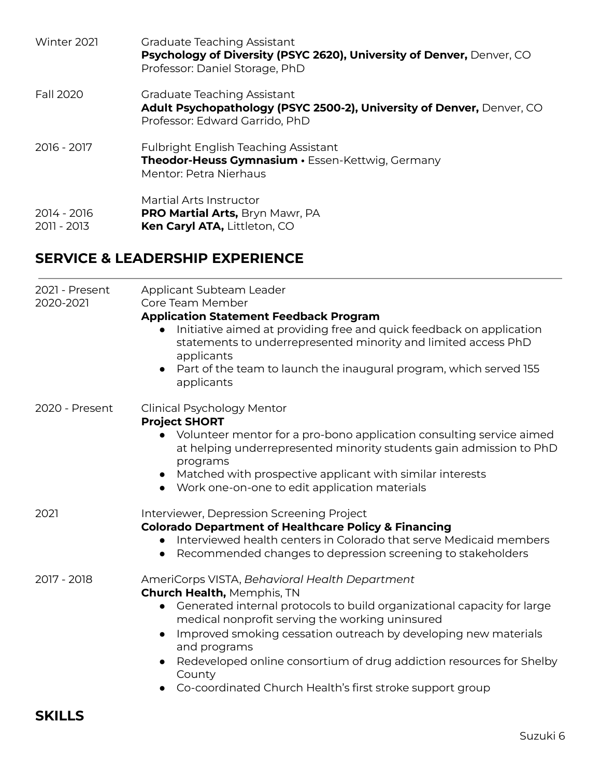| Winter 2021                | Graduate Teaching Assistant<br>Psychology of Diversity (PSYC 2620), University of Denver, Denver, CO<br>Professor: Daniel Storage, PhD |
|----------------------------|----------------------------------------------------------------------------------------------------------------------------------------|
| Fall 2020                  | Graduate Teaching Assistant<br>Adult Psychopathology (PSYC 2500-2), University of Denver, Denver, CO<br>Professor: Edward Garrido, PhD |
| 2016 - 2017                | <b>Fulbright English Teaching Assistant</b><br>Theodor-Heuss Gymnasium · Essen-Kettwig, Germany<br>Mentor: Petra Nierhaus              |
| 2014 - 2016<br>2011 - 2013 | Martial Arts Instructor<br>PRO Martial Arts, Bryn Mawr, PA<br>Ken Caryl ATA, Littleton, CO                                             |

# **SERVICE & LEADERSHIP EXPERIENCE**

| 2021 - Present<br>2020-2021 | Applicant Subteam Leader<br>Core Team Member                                                                                                                                                                                                                                                                                                                                                                                                        |
|-----------------------------|-----------------------------------------------------------------------------------------------------------------------------------------------------------------------------------------------------------------------------------------------------------------------------------------------------------------------------------------------------------------------------------------------------------------------------------------------------|
|                             | <b>Application Statement Feedback Program</b><br>Initiative aimed at providing free and quick feedback on application<br>statements to underrepresented minority and limited access PhD<br>applicants<br>Part of the team to launch the inaugural program, which served 155<br>$\bullet$<br>applicants                                                                                                                                              |
| 2020 - Present              | <b>Clinical Psychology Mentor</b><br><b>Project SHORT</b><br>• Volunteer mentor for a pro-bono application consulting service aimed<br>at helping underrepresented minority students gain admission to PhD<br>programs<br>Matched with prospective applicant with similar interests<br>$\bullet$<br>• Work one-on-one to edit application materials                                                                                                 |
| 2021                        | Interviewer, Depression Screening Project<br><b>Colorado Department of Healthcare Policy &amp; Financing</b><br>Interviewed health centers in Colorado that serve Medicaid members<br>Recommended changes to depression screening to stakeholders<br>$\bullet$                                                                                                                                                                                      |
| 2017 - 2018                 | AmeriCorps VISTA, Behavioral Health Department<br><b>Church Health, Memphis, TN</b><br>Generated internal protocols to build organizational capacity for large<br>medical nonprofit serving the working uninsured<br>Improved smoking cessation outreach by developing new materials<br>and programs<br>Redeveloped online consortium of drug addiction resources for Shelby<br>County<br>Co-coordinated Church Health's first stroke support group |

# **SKILLS**